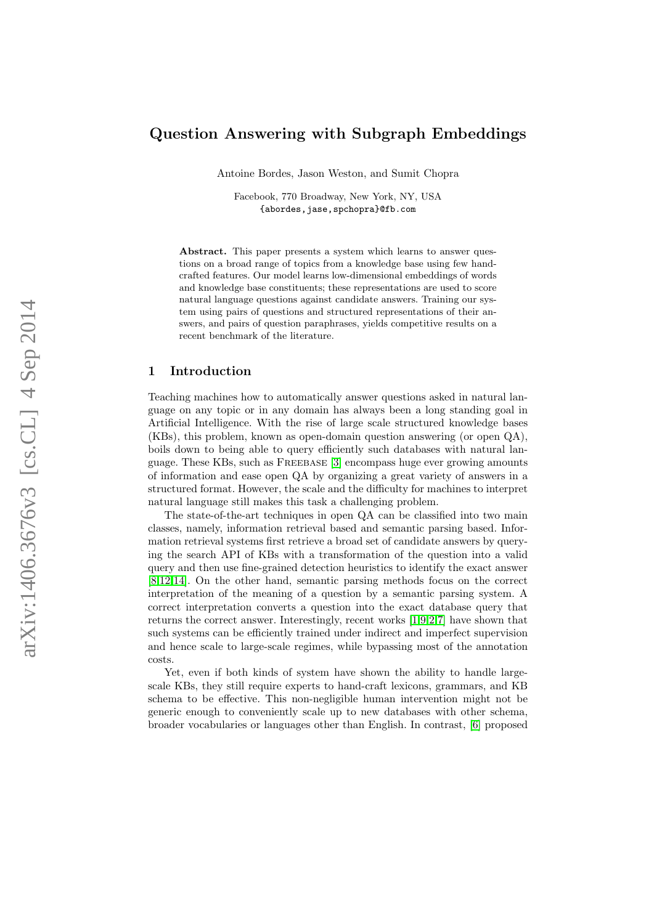# Question Answering with Subgraph Embeddings

Antoine Bordes, Jason Weston, and Sumit Chopra

Facebook, 770 Broadway, New York, NY, USA {abordes,jase,spchopra}@fb.com

Abstract. This paper presents a system which learns to answer questions on a broad range of topics from a knowledge base using few handcrafted features. Our model learns low-dimensional embeddings of words and knowledge base constituents; these representations are used to score natural language questions against candidate answers. Training our system using pairs of questions and structured representations of their answers, and pairs of question paraphrases, yields competitive results on a recent benchmark of the literature.

## 1 Introduction

Teaching machines how to automatically answer questions asked in natural language on any topic or in any domain has always been a long standing goal in Artificial Intelligence. With the rise of large scale structured knowledge bases (KBs), this problem, known as open-domain question answering (or open QA), boils down to being able to query efficiently such databases with natural language. These KBs, such as Freebase [\[3\]](#page-8-0) encompass huge ever growing amounts of information and ease open QA by organizing a great variety of answers in a structured format. However, the scale and the difficulty for machines to interpret natural language still makes this task a challenging problem.

The state-of-the-art techniques in open QA can be classified into two main classes, namely, information retrieval based and semantic parsing based. Information retrieval systems first retrieve a broad set of candidate answers by querying the search API of KBs with a transformation of the question into a valid query and then use fine-grained detection heuristics to identify the exact answer [\[8,](#page-9-0)[12](#page-9-1)[,14\]](#page-9-2). On the other hand, semantic parsing methods focus on the correct interpretation of the meaning of a question by a semantic parsing system. A correct interpretation converts a question into the exact database query that returns the correct answer. Interestingly, recent works [\[1,](#page-8-1)[9,](#page-9-3)[2,](#page-8-2)[7\]](#page-9-4) have shown that such systems can be efficiently trained under indirect and imperfect supervision and hence scale to large-scale regimes, while bypassing most of the annotation costs.

Yet, even if both kinds of system have shown the ability to handle largescale KBs, they still require experts to hand-craft lexicons, grammars, and KB schema to be effective. This non-negligible human intervention might not be generic enough to conveniently scale up to new databases with other schema, broader vocabularies or languages other than English. In contrast, [\[6\]](#page-9-5) proposed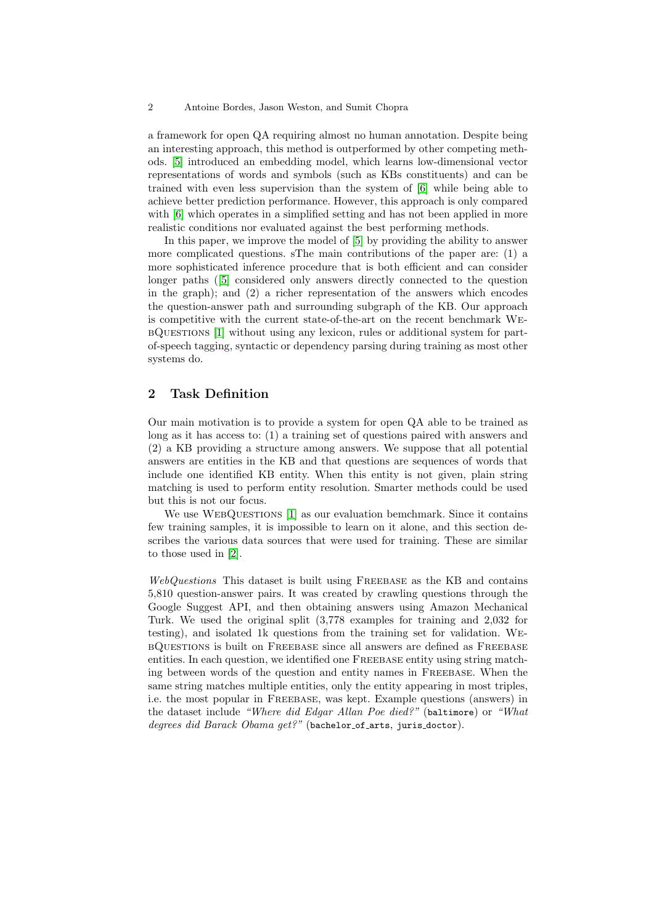#### 2 Antoine Bordes, Jason Weston, and Sumit Chopra

a framework for open QA requiring almost no human annotation. Despite being an interesting approach, this method is outperformed by other competing methods. [\[5\]](#page-8-3) introduced an embedding model, which learns low-dimensional vector representations of words and symbols (such as KBs constituents) and can be trained with even less supervision than the system of [\[6\]](#page-9-5) while being able to achieve better prediction performance. However, this approach is only compared with [\[6\]](#page-9-5) which operates in a simplified setting and has not been applied in more realistic conditions nor evaluated against the best performing methods.

In this paper, we improve the model of [\[5\]](#page-8-3) by providing the ability to answer more complicated questions. sThe main contributions of the paper are: (1) a more sophisticated inference procedure that is both efficient and can consider longer paths ([\[5\]](#page-8-3) considered only answers directly connected to the question in the graph); and (2) a richer representation of the answers which encodes the question-answer path and surrounding subgraph of the KB. Our approach is competitive with the current state-of-the-art on the recent benchmark WebQuestions [\[1\]](#page-8-1) without using any lexicon, rules or additional system for partof-speech tagging, syntactic or dependency parsing during training as most other systems do.

# 2 Task Definition

Our main motivation is to provide a system for open QA able to be trained as long as it has access to: (1) a training set of questions paired with answers and (2) a KB providing a structure among answers. We suppose that all potential answers are entities in the KB and that questions are sequences of words that include one identified KB entity. When this entity is not given, plain string matching is used to perform entity resolution. Smarter methods could be used but this is not our focus.

We use WEBQUESTIONS [\[1\]](#page-8-1) as our evaluation bemchmark. Since it contains few training samples, it is impossible to learn on it alone, and this section describes the various data sources that were used for training. These are similar to those used in [\[2\]](#page-8-2).

WebQuestions This dataset is built using FREEBASE as the KB and contains 5,810 question-answer pairs. It was created by crawling questions through the Google Suggest API, and then obtaining answers using Amazon Mechanical Turk. We used the original split (3,778 examples for training and 2,032 for testing), and isolated 1k questions from the training set for validation. WebQuestions is built on Freebase since all answers are defined as Freebase entities. In each question, we identified one FREEBASE entity using string matching between words of the question and entity names in FREEBASE. When the same string matches multiple entities, only the entity appearing in most triples, i.e. the most popular in Freebase, was kept. Example questions (answers) in the dataset include "Where did Edgar Allan Poe died?" (baltimore) or "What degrees did Barack Obama get?" (bachelor\_of\_arts, juris\_doctor).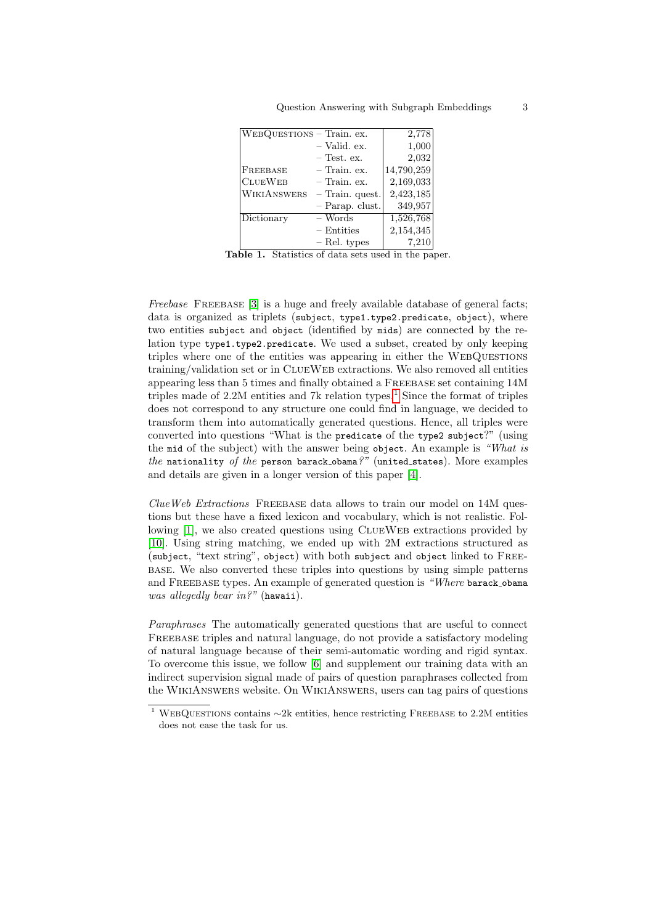| WEBQUESTIONS - Train. ex. |                   | 2,778      |
|---------------------------|-------------------|------------|
|                           | - Valid. ex.      | 1,000      |
|                           | $-$ Test. ex.     | 2,032      |
| FREEBASE                  | $-$ Train. ex.    | 14,790,259 |
| <b>CLUEWEB</b>            | $-$ Train. ex.    | 2,169,033  |
| <b>WIKIANSWERS</b>        | $-$ Train. quest. | 2,423,185  |
|                           | $-$ Parap. clust. | 349,957    |
| Dictionary                | – Words           | 1,526,768  |
|                           | $-$ Entities      | 2,154,345  |
|                           | - Rel. types      | 7,210      |

Table 1. Statistics of data sets used in the paper.

Freebase FREEBASE [\[3\]](#page-8-0) is a huge and freely available database of general facts; data is organized as triplets (subject, type1.type2.predicate, object), where two entities subject and object (identified by mids) are connected by the relation type type1.type2.predicate. We used a subset, created by only keeping triples where one of the entities was appearing in either the WEBQUESTIONS training/validation set or in ClueWeb extractions. We also removed all entities appearing less than 5 times and finally obtained a Freebase set containing 14M triples made of  $2.2M$  entities and  $7k$  relation types.<sup>[1](#page-2-0)</sup> Since the format of triples does not correspond to any structure one could find in language, we decided to transform them into automatically generated questions. Hence, all triples were converted into questions "What is the predicate of the type2 subject?" (using the mid of the subject) with the answer being object. An example is "What is the nationality of the person barack obama?" (united states). More examples and details are given in a longer version of this paper [\[4\]](#page-8-4).

 $C$ lueWeb Extractions FREEBASE data allows to train our model on 14M questions but these have a fixed lexicon and vocabulary, which is not realistic. Fol-lowing [\[1\]](#page-8-1), we also created questions using CLUEWEB extractions provided by [\[10\]](#page-9-6). Using string matching, we ended up with 2M extractions structured as (subject, "text string", object) with both subject and object linked to Freebase. We also converted these triples into questions by using simple patterns and FREEBASE types. An example of generated question is "Where barack\_obama was allegedly bear in?" (hawaii).

Paraphrases The automatically generated questions that are useful to connect Freebase triples and natural language, do not provide a satisfactory modeling of natural language because of their semi-automatic wording and rigid syntax. To overcome this issue, we follow [\[6\]](#page-9-5) and supplement our training data with an indirect supervision signal made of pairs of question paraphrases collected from the WikiAnswers website. On WikiAnswers, users can tag pairs of questions

<span id="page-2-0"></span><sup>&</sup>lt;sup>1</sup> WEBQUESTIONS contains ∼2k entities, hence restricting FREEBASE to 2.2M entities does not ease the task for us.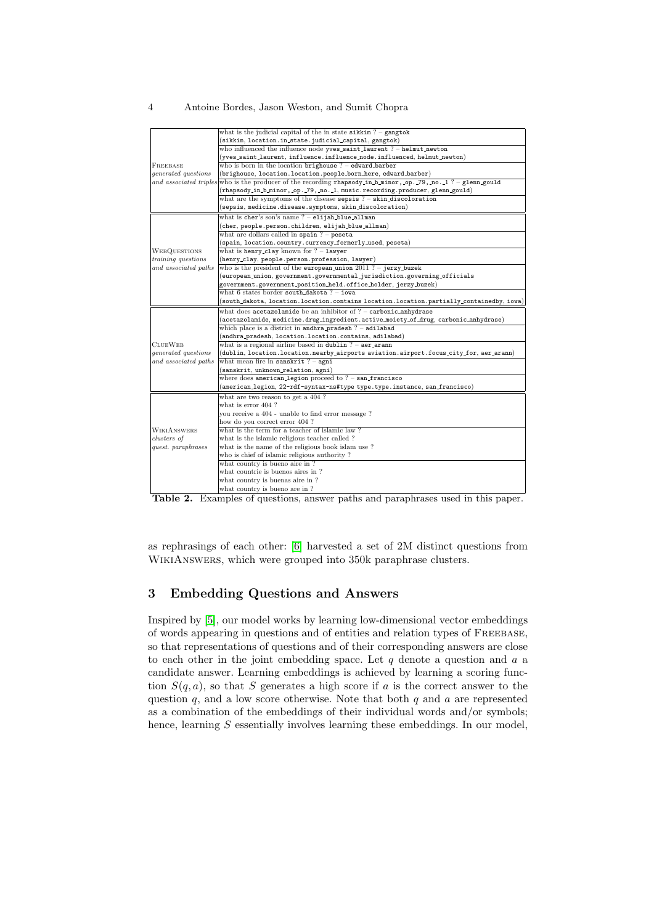#### 4 Antoine Bordes, Jason Weston, and Sumit Chopra

|                            | what is the judicial capital of the in state $s$ ikkim? - gangtok                        |  |  |  |
|----------------------------|------------------------------------------------------------------------------------------|--|--|--|
|                            | (sikkim, location.in_state.judicial_capital, gangtok)                                    |  |  |  |
|                            | who influenced the influence node yves_saint_laurent? - helmut_newton                    |  |  |  |
|                            | $(yves\_saint\_laurent, influence.influence\_node.influence, helium\_newton)$            |  |  |  |
| FREEBASE                   | who is born in the location brighouse $? -$ edward_barber                                |  |  |  |
| generated questions        | (brighouse, location.location.people_born_here, edward_barber)                           |  |  |  |
| and associated triples     | who is the producer of the recording rhapsody_in_b_minor,_op._79,_no._1 ? - glenn_gould  |  |  |  |
|                            | (rhapsody_in_b_minor,_op._79,_no._1, music.recording.producer, glenn_gould)              |  |  |  |
|                            | what are the symptoms of the disease sepsis $? -$ skin discoloration                     |  |  |  |
|                            | (sepsis, medicine.disease.symptoms, skin_discoloration)                                  |  |  |  |
|                            | what is cher's son's name ? - elijah_blue_allman                                         |  |  |  |
|                            | (cher, people.person.children, elijah_blue_allman)                                       |  |  |  |
|                            | what are dollars called in spain $?$ – peseta                                            |  |  |  |
|                            | (spain, location.country.currency_formerly_used, peseta)                                 |  |  |  |
| <b>WEBQUESTIONS</b>        | what is henry_clay known for $? - \text{lawyer}$                                         |  |  |  |
| <i>training questions</i>  | (henry_clay, people.person.profession, lawyer)                                           |  |  |  |
| and associated paths       | who is the president of the european union $2011$ ? - jerzy_buzek                        |  |  |  |
|                            | (european_union, government.governmental_jurisdiction.governing_officials                |  |  |  |
|                            | government.government_position_held.office_holder,jerzy_buzek)                           |  |  |  |
|                            | what 6 states border south_dakota? - iowa                                                |  |  |  |
|                            | (south_dakota, location.location.contains location.location.partially_containedby, iowa) |  |  |  |
|                            | what does acetazolamide be an inhibitor of $? -$ carbonic_anhydrase                      |  |  |  |
|                            | (acetazolamide, medicine.drug_ingredient.active_moiety_of_drug, carbonic_anhydrase)      |  |  |  |
|                            | which place is a district in andhra_pradesh ? - adilabad                                 |  |  |  |
|                            | (andhra_pradesh, location.location.contains, adilabad)                                   |  |  |  |
| <b>CLUEWEB</b>             | what is a regional airline based in dublin $? - aer_0arann$                              |  |  |  |
| <i>generated questions</i> | (dublin, location.location.nearby_airports aviation.airport.focus_city_for, aer_arann)   |  |  |  |
| and associated paths       | what mean fire in sanskrit $? -$ agni                                                    |  |  |  |
|                            | (sanskrit, unknown_relation, agni)                                                       |  |  |  |
|                            | where does american. legion proceed to $? -$ san francisco                               |  |  |  |
|                            | (american_legion, 22-rdf-syntax-ns#type type.type.instance, san_francisco)               |  |  |  |
|                            | what are two reason to get a 404?                                                        |  |  |  |
|                            | what is error 404?                                                                       |  |  |  |
|                            | you receive a 404 - unable to find error message?                                        |  |  |  |
|                            | how do you correct error 404?                                                            |  |  |  |
| <b>WIKIANSWERS</b>         | what is the term for a teacher of islamic law?                                           |  |  |  |
| clusters of                | what is the islamic religious teacher called?                                            |  |  |  |
| quest. paraphrases         | what is the name of the religious book islam use?                                        |  |  |  |
|                            | who is chief of islamic religious authority?                                             |  |  |  |
|                            | what country is bueno aire in ?                                                          |  |  |  |
|                            | what countrie is buenos aires in ?                                                       |  |  |  |
|                            | what country is buenas aire in?                                                          |  |  |  |
|                            | what country is bueno are in?                                                            |  |  |  |

Table 2. Examples of questions, answer paths and paraphrases used in this paper.

as rephrasings of each other: [\[6\]](#page-9-5) harvested a set of 2M distinct questions from WIKIANSWERS, which were grouped into 350k paraphrase clusters.

# 3 Embedding Questions and Answers

Inspired by [\[5\]](#page-8-3), our model works by learning low-dimensional vector embeddings of words appearing in questions and of entities and relation types of Freebase, so that representations of questions and of their corresponding answers are close to each other in the joint embedding space. Let  $q$  denote a question and  $a$  a candidate answer. Learning embeddings is achieved by learning a scoring function  $S(q, a)$ , so that S generates a high score if a is the correct answer to the question  $q$ , and a low score otherwise. Note that both  $q$  and  $a$  are represented as a combination of the embeddings of their individual words and/or symbols; hence, learning S essentially involves learning these embeddings. In our model,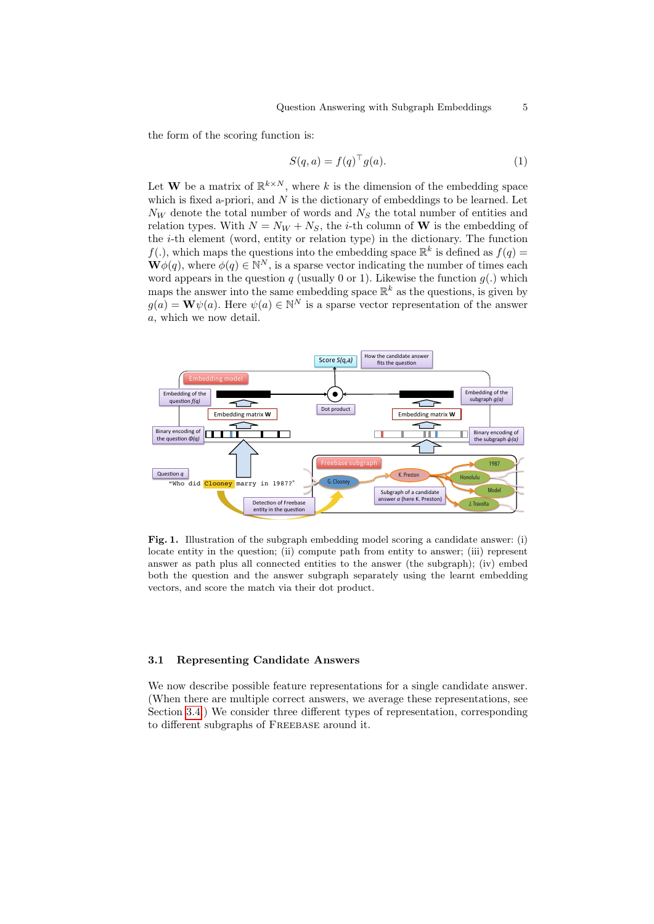the form of the scoring function is:

<span id="page-4-1"></span>
$$
S(q, a) = f(q)^{\top} g(a). \tag{1}
$$

Let **W** be a matrix of  $\mathbb{R}^{k \times N}$ , where k is the dimension of the embedding space which is fixed a-priori, and  $N$  is the dictionary of embeddings to be learned. Let  $N_W$  denote the total number of words and  $N_S$  the total number of entities and relation types. With  $N = N_W + N_S$ , the *i*-th column of **W** is the embedding of the  $i$ -th element (word, entity or relation type) in the dictionary. The function  $f(.)$ , which maps the questions into the embedding space  $\mathbb{R}^k$  is defined as  $f(q)$  $\mathbf{W}\phi(q)$ , where  $\phi(q) \in \mathbb{N}^N$ , is a sparse vector indicating the number of times each word appears in the question  $q$  (usually 0 or 1). Likewise the function  $g(.)$  which maps the answer into the same embedding space  $\mathbb{R}^k$  as the questions, is given by  $g(a) = \mathbf{W}\psi(a)$ . Here  $\psi(a) \in \mathbb{N}^N$  is a sparse vector representation of the answer a, which we now detail.



<span id="page-4-0"></span>Fig. 1. Illustration of the subgraph embedding model scoring a candidate answer: (i) locate entity in the question; (ii) compute path from entity to answer; (iii) represent answer as path plus all connected entities to the answer (the subgraph); (iv) embed both the question and the answer subgraph separately using the learnt embedding vectors, and score the match via their dot product.

### <span id="page-4-2"></span>3.1 Representing Candidate Answers

We now describe possible feature representations for a single candidate answer. (When there are multiple correct answers, we average these representations, see Section [3.4.](#page-6-0)) We consider three different types of representation, corresponding to different subgraphs of FREEBASE around it.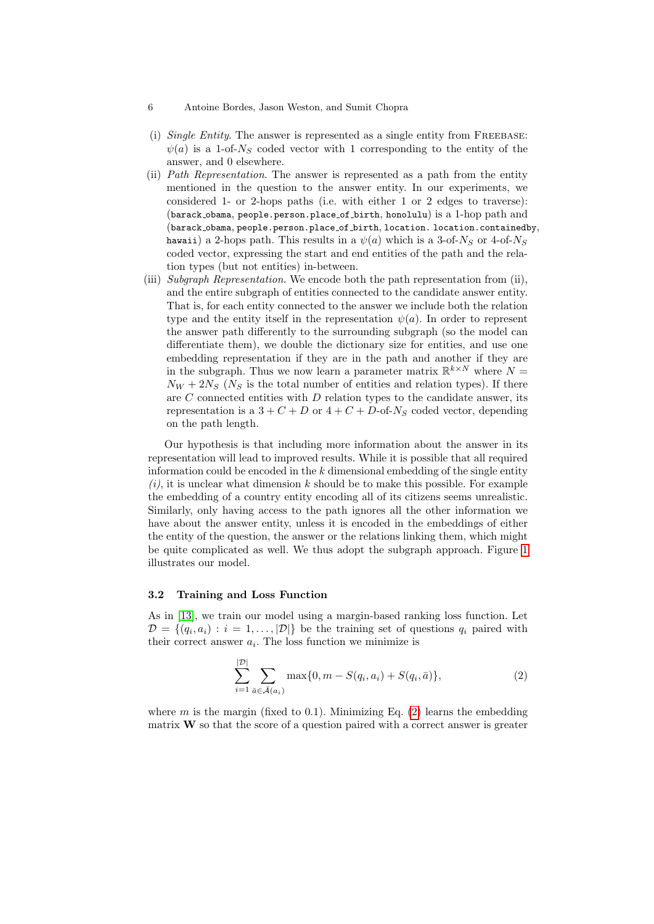- 6 Antoine Bordes, Jason Weston, and Sumit Chopra
- (i) Single Entity. The answer is represented as a single entity from FREEBASE:  $\psi(a)$  is a 1-of- $N<sub>S</sub>$  coded vector with 1 corresponding to the entity of the answer, and 0 elsewhere.
- (ii) Path Representation. The answer is represented as a path from the entity mentioned in the question to the answer entity. In our experiments, we considered 1- or 2-hops paths (i.e. with either 1 or 2 edges to traverse): (barack obama, people.person.place of birth, honolulu) is a 1-hop path and (barack obama, people.person.place of birth, location. location.containedby, hawaii) a 2-hops path. This results in a  $\psi(a)$  which is a 3-of-N<sub>S</sub> or 4-of-N<sub>S</sub> coded vector, expressing the start and end entities of the path and the relation types (but not entities) in-between.
- (iii) Subgraph Representation. We encode both the path representation from (ii), and the entire subgraph of entities connected to the candidate answer entity. That is, for each entity connected to the answer we include both the relation type and the entity itself in the representation  $\psi(a)$ . In order to represent the answer path differently to the surrounding subgraph (so the model can differentiate them), we double the dictionary size for entities, and use one embedding representation if they are in the path and another if they are in the subgraph. Thus we now learn a parameter matrix  $\mathbb{R}^{k \times N}$  where  $N =$  $N_W + 2N_S$  ( $N_S$  is the total number of entities and relation types). If there are  $C$  connected entities with  $D$  relation types to the candidate answer, its representation is a  $3 + C + D$  or  $4 + C + D$ -of- $N_S$  coded vector, depending on the path length.

Our hypothesis is that including more information about the answer in its representation will lead to improved results. While it is possible that all required information could be encoded in the  $k$  dimensional embedding of the single entity  $(i)$ , it is unclear what dimension k should be to make this possible. For example the embedding of a country entity encoding all of its citizens seems unrealistic. Similarly, only having access to the path ignores all the other information we have about the answer entity, unless it is encoded in the embeddings of either the entity of the question, the answer or the relations linking them, which might be quite complicated as well. We thus adopt the subgraph approach. Figure [1](#page-4-0) illustrates our model.

#### 3.2 Training and Loss Function

As in [\[13\]](#page-9-7), we train our model using a margin-based ranking loss function. Let  $D = \{(q_i, a_i) : i = 1, \ldots, |\mathcal{D}|\}$  be the training set of questions  $q_i$  paired with their correct answer  $a_i$ . The loss function we minimize is

<span id="page-5-0"></span>
$$
\sum_{i=1}^{|\mathcal{D}|} \sum_{\bar{a} \in \bar{\mathcal{A}}(a_i)} \max\{0, m - S(q_i, a_i) + S(q_i, \bar{a})\},\tag{2}
$$

where m is the margin (fixed to 0.1). Minimizing Eq.  $(2)$  learns the embedding matrix  $W$  so that the score of a question paired with a correct answer is greater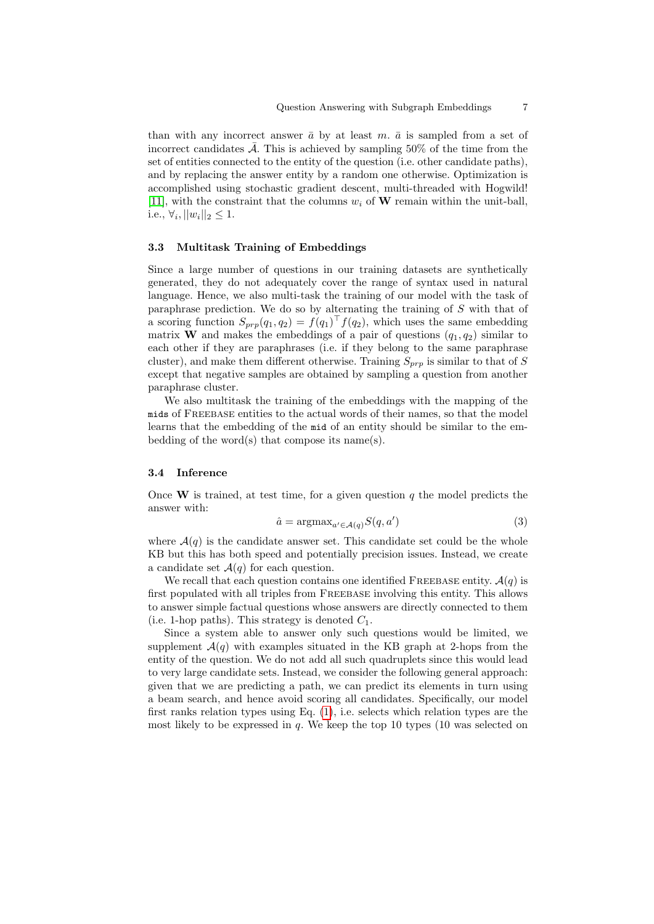than with any incorrect answer  $\bar{a}$  by at least m.  $\bar{a}$  is sampled from a set of incorrect candidates  $\overline{\mathcal{A}}$ . This is achieved by sampling 50% of the time from the set of entities connected to the entity of the question (i.e. other candidate paths), and by replacing the answer entity by a random one otherwise. Optimization is accomplished using stochastic gradient descent, multi-threaded with Hogwild! [\[11\]](#page-9-8), with the constraint that the columns  $w_i$  of **W** remain within the unit-ball, i.e.,  $\forall i, ||w_i||_2 \leq 1.$ 

#### 3.3 Multitask Training of Embeddings

Since a large number of questions in our training datasets are synthetically generated, they do not adequately cover the range of syntax used in natural language. Hence, we also multi-task the training of our model with the task of paraphrase prediction. We do so by alternating the training of S with that of a scoring function  $S_{prp}(q_1, q_2) = f(q_1)^{\top} f(q_2)$ , which uses the same embedding matrix **W** and makes the embeddings of a pair of questions  $(q_1, q_2)$  similar to each other if they are paraphrases (i.e. if they belong to the same paraphrase cluster), and make them different otherwise. Training  $S_{prp}$  is similar to that of S except that negative samples are obtained by sampling a question from another paraphrase cluster.

We also multitask the training of the embeddings with the mapping of the mids of Freebase entities to the actual words of their names, so that the model learns that the embedding of the mid of an entity should be similar to the embedding of the word(s) that compose its name(s).

#### <span id="page-6-0"></span>3.4 Inference

Once **W** is trained, at test time, for a given question q the model predicts the answer with:

$$
\hat{a} = \operatorname{argmax}_{a' \in \mathcal{A}(q)} S(q, a')
$$
\n(3)

where  $\mathcal{A}(q)$  is the candidate answer set. This candidate set could be the whole KB but this has both speed and potentially precision issues. Instead, we create a candidate set  $\mathcal{A}(q)$  for each question.

We recall that each question contains one identified FREEBASE entity.  $\mathcal{A}(q)$  is first populated with all triples from FREEBASE involving this entity. This allows to answer simple factual questions whose answers are directly connected to them (i.e. 1-hop paths). This strategy is denoted  $C_1$ .

Since a system able to answer only such questions would be limited, we supplement  $\mathcal{A}(q)$  with examples situated in the KB graph at 2-hops from the entity of the question. We do not add all such quadruplets since this would lead to very large candidate sets. Instead, we consider the following general approach: given that we are predicting a path, we can predict its elements in turn using a beam search, and hence avoid scoring all candidates. Specifically, our model first ranks relation types using Eq. [\(1\)](#page-4-1), i.e. selects which relation types are the most likely to be expressed in  $q$ . We keep the top 10 types (10 was selected on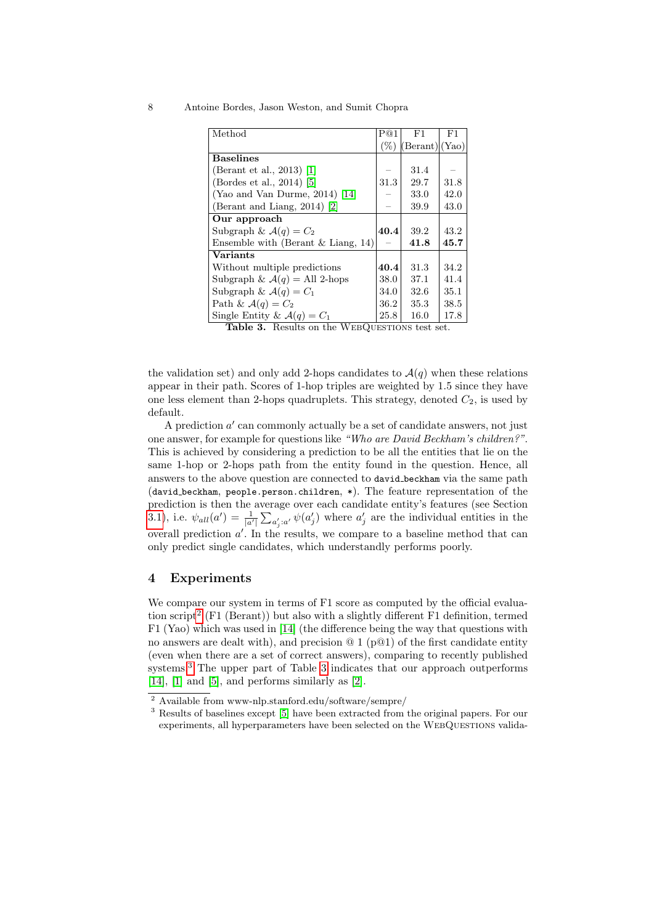#### 8 Antoine Bordes, Jason Weston, and Sumit Chopra

| Method                                   | P@1     | F1             | F1   |
|------------------------------------------|---------|----------------|------|
|                                          | $(\% )$ | (Berant) (Yao) |      |
| <b>Baselines</b>                         |         |                |      |
| (Berant et al., 2013) [1]                |         | 31.4           |      |
| (Bordes et al., 2014) [5]                | 31.3    | 29.7           | 31.8 |
| (Yao and Van Durme, 2014) [14]           |         | 33.0           | 42.0 |
| (Berant and Liang, 2014) [2]             |         | 39.9           | 43.0 |
| Our approach                             |         |                |      |
| Subgraph & $\mathcal{A}(q) = C_2$        | 40.4    | 39.2           | 43.2 |
| Ensemble with (Berant $&$ Liang, 14)     |         | 41.8           | 45.7 |
| <b>Variants</b>                          |         |                |      |
| Without multiple predictions             |         | 31.3           | 34.2 |
| Subgraph & $\mathcal{A}(q) =$ All 2-hops |         | 37.1           | 41.4 |
| Subgraph & $\mathcal{A}(q) = C_1$        |         | 32.6           | 35.1 |
| Path & $\mathcal{A}(q) = C_2$            | 36.2    | 35.3           | 38.5 |
| Single Entity & $\mathcal{A}(q) = C_1$   | 25.8    | 16.0           | 17.8 |

<span id="page-7-2"></span>Table 3. Results on the WEBQUESTIONS test set.

the validation set) and only add 2-hops candidates to  $\mathcal{A}(q)$  when these relations appear in their path. Scores of 1-hop triples are weighted by 1.5 since they have one less element than 2-hops quadruplets. This strategy, denoted  $C_2$ , is used by default.

A prediction  $a'$  can commonly actually be a set of candidate answers, not just one answer, for example for questions like "Who are David Beckham's children?". This is achieved by considering a prediction to be all the entities that lie on the same 1-hop or 2-hops path from the entity found in the question. Hence, all answers to the above question are connected to david beckham via the same path (david beckham, people.person.children, \*). The feature representation of the prediction is then the average over each candidate entity's features (see Section [3.1\)](#page-4-2), i.e.  $\psi_{all}(a') = \frac{1}{|a'|} \sum_{a'_j:a'} \psi(a'_j)$  where  $a'_j$  are the individual entities in the overall prediction  $a'$ . In the results, we compare to a baseline method that can only predict single candidates, which understandly performs poorly.

# 4 Experiments

We compare our system in terms of F1 score as computed by the official evaluation script[2](#page-7-0) (F1 (Berant)) but also with a slightly different F1 definition, termed F1 (Yao) which was used in [\[14\]](#page-9-2) (the difference being the way that questions with no answers are dealt with), and precision  $@1(p@1)$  of the first candidate entity (even when there are a set of correct answers), comparing to recently published systems.<sup>[3](#page-7-1)</sup> The upper part of Table [3](#page-7-2) indicates that our approach outperforms  $[14]$ ,  $[1]$  and  $[5]$ , and performs similarly as  $[2]$ .

<span id="page-7-0"></span><sup>2</sup> Available from www-nlp.stanford.edu/software/sempre/

<span id="page-7-1"></span><sup>3</sup> Results of baselines except [\[5\]](#page-8-3) have been extracted from the original papers. For our experiments, all hyperparameters have been selected on the WEBQUESTIONS valida-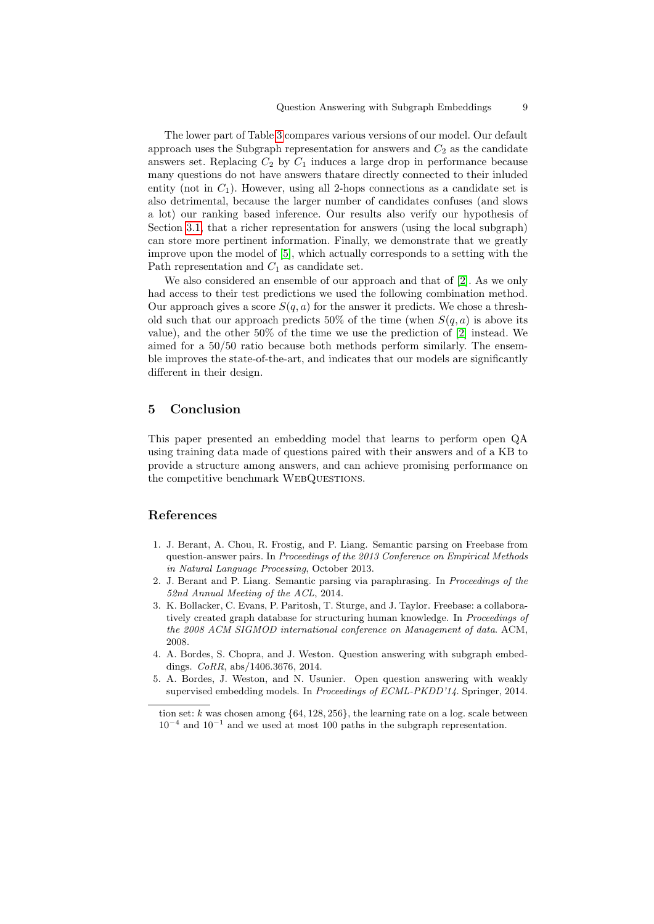The lower part of Table [3](#page-7-2) compares various versions of our model. Our default approach uses the Subgraph representation for answers and  $C_2$  as the candidate answers set. Replacing  $C_2$  by  $C_1$  induces a large drop in performance because many questions do not have answers thatare directly connected to their inluded entity (not in  $C_1$ ). However, using all 2-hops connections as a candidate set is also detrimental, because the larger number of candidates confuses (and slows a lot) our ranking based inference. Our results also verify our hypothesis of Section [3.1,](#page-4-2) that a richer representation for answers (using the local subgraph) can store more pertinent information. Finally, we demonstrate that we greatly improve upon the model of [\[5\]](#page-8-3), which actually corresponds to a setting with the Path representation and  $C_1$  as candidate set.

We also considered an ensemble of our approach and that of [\[2\]](#page-8-2). As we only had access to their test predictions we used the following combination method. Our approach gives a score  $S(q, a)$  for the answer it predicts. We chose a threshold such that our approach predicts 50% of the time (when  $S(q, a)$ ) is above its value), and the other 50% of the time we use the prediction of [\[2\]](#page-8-2) instead. We aimed for a 50/50 ratio because both methods perform similarly. The ensemble improves the state-of-the-art, and indicates that our models are significantly different in their design.

### 5 Conclusion

This paper presented an embedding model that learns to perform open QA using training data made of questions paired with their answers and of a KB to provide a structure among answers, and can achieve promising performance on the competitive benchmark WEBQUESTIONS.

## References

- <span id="page-8-1"></span>1. J. Berant, A. Chou, R. Frostig, and P. Liang. Semantic parsing on Freebase from question-answer pairs. In Proceedings of the 2013 Conference on Empirical Methods in Natural Language Processing, October 2013.
- <span id="page-8-2"></span>2. J. Berant and P. Liang. Semantic parsing via paraphrasing. In Proceedings of the 52nd Annual Meeting of the ACL, 2014.
- <span id="page-8-0"></span>3. K. Bollacker, C. Evans, P. Paritosh, T. Sturge, and J. Taylor. Freebase: a collaboratively created graph database for structuring human knowledge. In *Proceedings of* the 2008 ACM SIGMOD international conference on Management of data. ACM, 2008.
- <span id="page-8-4"></span>4. A. Bordes, S. Chopra, and J. Weston. Question answering with subgraph embeddings. CoRR, abs/1406.3676, 2014.
- <span id="page-8-3"></span>5. A. Bordes, J. Weston, and N. Usunier. Open question answering with weakly supervised embedding models. In Proceedings of ECML-PKDD'14. Springer, 2014.

tion set: k was chosen among  $\{64, 128, 256\}$ , the learning rate on a log. scale between  $10^{-4}$  and  $10^{-1}$  and we used at most 100 paths in the subgraph representation.